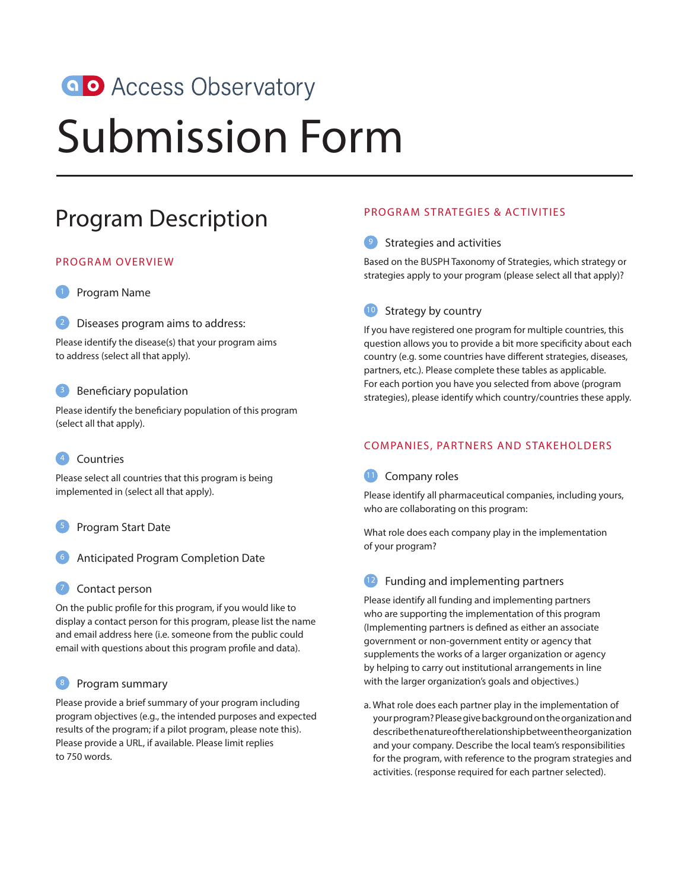# **a D** Access Observatory

# Submission Form

# Program Description

#### PROGRAM OVERVIEW



Diseases program aims to address:

Please identify the disease(s) that your program aims to address (select all that apply).

#### <sup>3</sup> Beneficiary population

Please identify the beneficiary population of this program (select all that apply).

# 4 Countries

Please select all countries that this program is being implemented in (select all that apply).

# 5 Program Start Date

- 6 Anticipated Program Completion Date
- Contact person

On the public profile for this program, if you would like to display a contact person for this program, please list the name and email address here (i.e. someone from the public could email with questions about this program profile and data).

# 8 Program summary

Please provide a brief summary of your program including program objectives (e.g., the intended purposes and expected results of the program; if a pilot program, please note this). Please provide a URL, if available. Please limit replies to 750 words.

# PROGRAM STRATEGIES & ACTIVITIES

# 9 Strategies and activities

Based on the BUSPH Taxonomy of Strategies, which strategy or strategies apply to your program (please select all that apply)?

# 10 Strategy by country

If you have registered one program for multiple countries, this question allows you to provide a bit more specificity about each country (e.g. some countries have different strategies, diseases, partners, etc.). Please complete these tables as applicable. For each portion you have you selected from above (program strategies), please identify which country/countries these apply.

# COMPANIES, PARTNERS AND STAKEHOLDERS

# 11 Company roles

Please identify all pharmaceutical companies, including yours, who are collaborating on this program:

What role does each company play in the implementation of your program?

# 12 Funding and implementing partners

Please identify all funding and implementing partners who are supporting the implementation of this program (Implementing partners is defined as either an associate government or non-government entity or agency that supplements the works of a larger organization or agency by helping to carry out institutional arrangements in line with the larger organization's goals and objectives.)

a. What role does each partner play in the implementation of your program? Please give background on the organization and describe the nature of the relationship between the organization and your company. Describe the local team's responsibilities for the program, with reference to the program strategies and activities. (response required for each partner selected).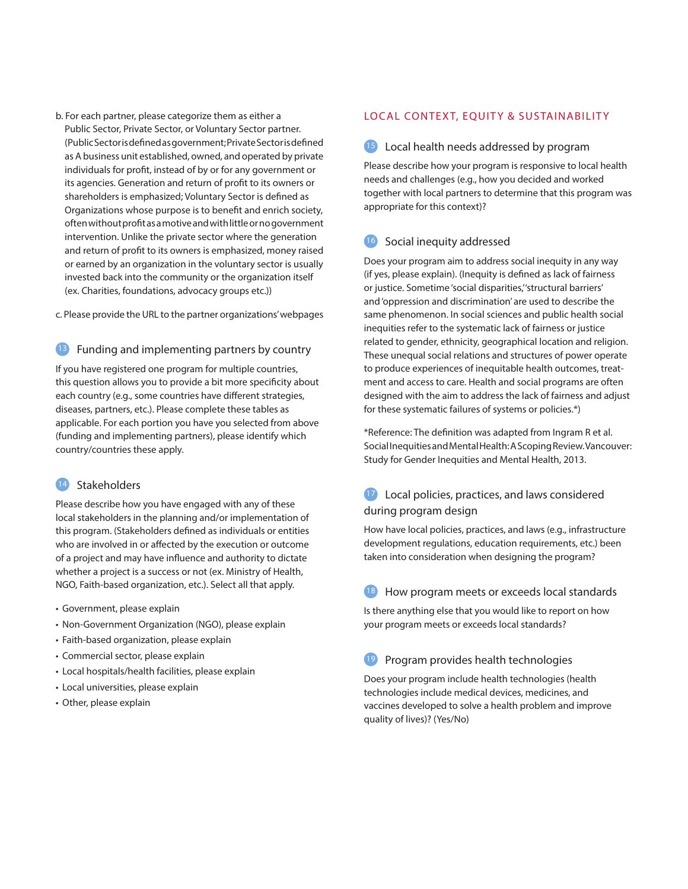b. For each partner, please categorize them as either a Public Sector, Private Sector, or Voluntary Sector partner. (Public Sector is defined as government; Private Sector is defined as A business unit established, owned, and operated by private individuals for profit, instead of by or for any government or its agencies. Generation and return of profit to its owners or shareholders is emphasized; Voluntary Sector is defined as Organizations whose purpose is to benefit and enrich society, often without profit as a motive and with little or no government intervention. Unlike the private sector where the generation and return of profit to its owners is emphasized, money raised or earned by an organization in the voluntary sector is usually invested back into the community or the organization itself (ex. Charities, foundations, advocacy groups etc.))

c. Please provide the URL to the partner organizations' webpages

#### 13 Funding and implementing partners by country

If you have registered one program for multiple countries, this question allows you to provide a bit more specificity about each country (e.g., some countries have different strategies, diseases, partners, etc.). Please complete these tables as applicable. For each portion you have you selected from above (funding and implementing partners), please identify which country/countries these apply.

# 14 Stakeholders

Please describe how you have engaged with any of these local stakeholders in the planning and/or implementation of this program. (Stakeholders defined as individuals or entities who are involved in or affected by the execution or outcome of a project and may have influence and authority to dictate whether a project is a success or not (ex. Ministry of Health, NGO, Faith-based organization, etc.). Select all that apply.

- Government, please explain
- Non-Government Organization (NGO), please explain
- Faith-based organization, please explain
- Commercial sector, please explain
- Local hospitals/health facilities, please explain
- Local universities, please explain
- Other, please explain

#### LOCAL CONTEXT, EQUITY & SUSTAINABILITY

#### 15 Local health needs addressed by program

Please describe how your program is responsive to local health needs and challenges (e.g., how you decided and worked together with local partners to determine that this program was appropriate for this context)?

# 16 Social inequity addressed

Does your program aim to address social inequity in any way (if yes, please explain). (Inequity is defined as lack of fairness or justice. Sometime 'social disparities,' 'structural barriers' and 'oppression and discrimination' are used to describe the same phenomenon. In social sciences and public health social inequities refer to the systematic lack of fairness or justice related to gender, ethnicity, geographical location and religion. These unequal social relations and structures of power operate to produce experiences of inequitable health outcomes, treatment and access to care. Health and social programs are often designed with the aim to address the lack of fairness and adjust for these systematic failures of systems or policies.\*)

\*Reference: The definition was adapted from Ingram R et al. Social Inequities and Mental Health: A Scoping Review. Vancouver: Study for Gender Inequities and Mental Health, 2013.

# 17 Local policies, practices, and laws considered during program design

How have local policies, practices, and laws (e.g., infrastructure development regulations, education requirements, etc.) been taken into consideration when designing the program?

#### 18 How program meets or exceeds local standards

Is there anything else that you would like to report on how your program meets or exceeds local standards?

# 19 Program provides health technologies

Does your program include health technologies (health technologies include medical devices, medicines, and vaccines developed to solve a health problem and improve quality of lives)? (Yes/No)